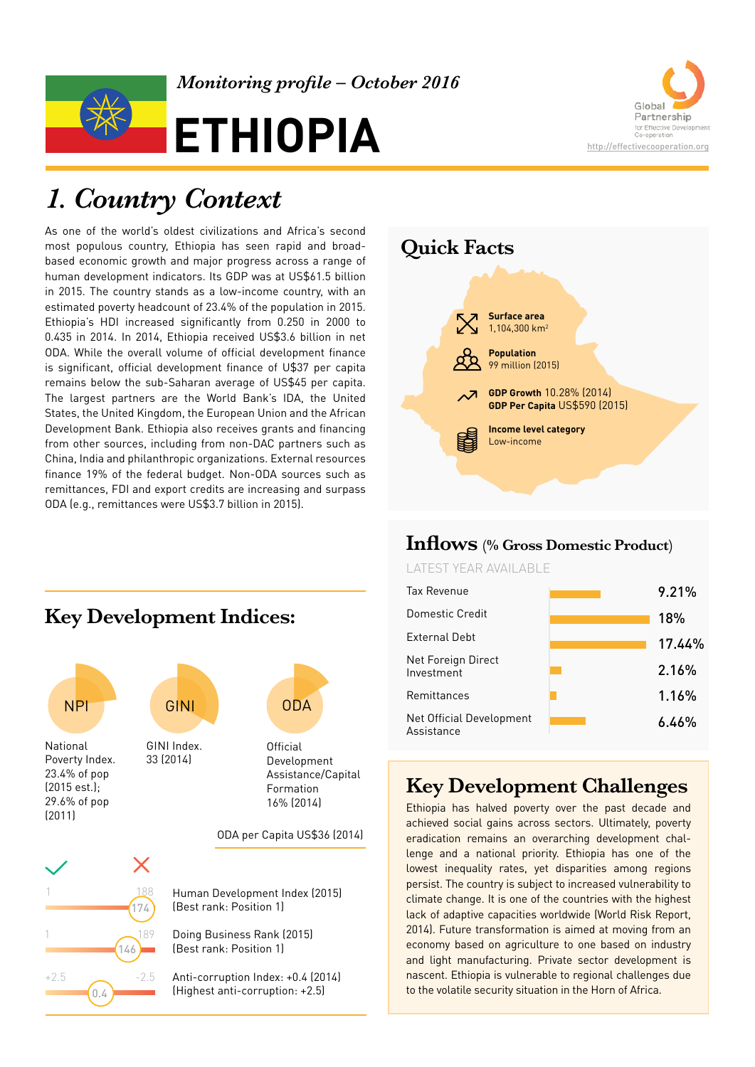



# *1. Country Context*

As one of the world's oldest civilizations and Africa's second most populous country, Ethiopia has seen rapid and broadbased economic growth and major progress across a range of human development indicators. Its GDP was at US\$61.5 billion in 2015. The country stands as a low-income country, with an estimated poverty headcount of 23.4% of the population in 2015. Ethiopia's HDI increased significantly from 0.250 in 2000 to 0.435 in 2014. In 2014, Ethiopia received US\$3.6 billion in net ODA. While the overall volume of official development finance is significant, official development finance of U\$37 per capita remains below the sub-Saharan average of US\$45 per capita. The largest partners are the World Bank's IDA, the United States, the United Kingdom, the European Union and the African Development Bank. Ethiopia also receives grants and financing from other sources, including from non-DAC partners such as China, India and philanthropic organizations. External resources finance 19% of the federal budget. Non-ODA sources such as remittances, FDI and export credits are increasing and surpass ODA (e.g., remittances were US\$3.7 billion in 2015).



## **Inflows (% Gross Domestic Product)**

LATEST YEAR AVAILABLE

| <b>Tax Revenue</b>                     | 9.21%    |
|----------------------------------------|----------|
| Domestic Credit                        | 18%      |
| External Debt                          | 17.44%   |
| Net Foreign Direct<br>Investment       | 2.16%    |
| Remittances                            | 1.16%    |
| Net Official Development<br>Assistance | $6.46\%$ |

## **Key Development Challenges**

Ethiopia has halved poverty over the past decade and achieved social gains across sectors. Ultimately, poverty eradication remains an overarching development challenge and a national priority. Ethiopia has one of the lowest inequality rates, yet disparities among regions persist. The country is subject to increased vulnerability to climate change. It is one of the countries with the highest lack of adaptive capacities worldwide (World Risk Report, 2014). Future transformation is aimed at moving from an economy based on agriculture to one based on industry and light manufacturing. Private sector development is nascent. Ethiopia is vulnerable to regional challenges due to the volatile security situation in the Horn of Africa.

## **Key Development Indices:**



**National** Poverty Index. 23.4% of pop (2015 est.); 29.6% of pop (2011)



GINI Index. 33 (2014)

**Official** Development **ODA**<br>Official<br>Development

Assistance/Capital Formation 16% (2014)

ODA per Capita US\$36 (2014)





Doing Business Rank (2015) (Best rank: Position 1)

Anti-corruption Index: +0.4 (2014) (Highest anti-corruption: +2.5)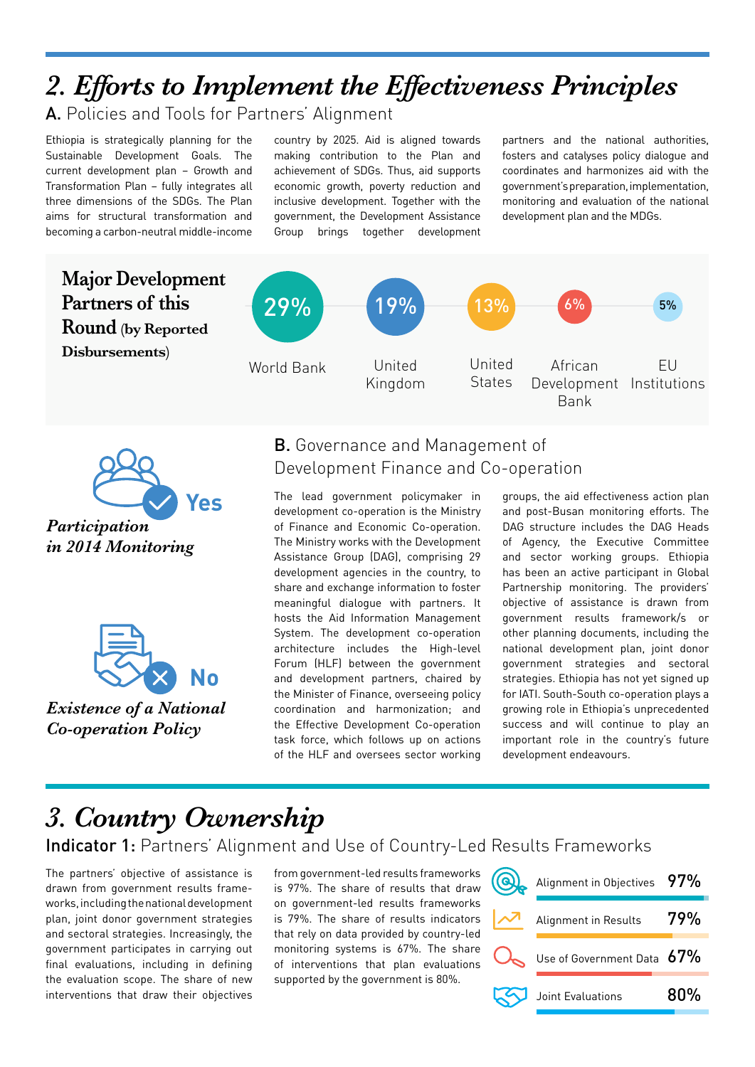# *2. Efforts to Implement the Effectiveness Principles*

A. Policies and Tools for Partners' Alignment

Ethiopia is strategically planning for the Sustainable Development Goals. The current development plan – Growth and Transformation Plan – fully integrates all three dimensions of the SDGs. The Plan aims for structural transformation and becoming a carbon-neutral middle-income country by 2025. Aid is aligned towards making contribution to the Plan and achievement of SDGs. Thus, aid supports economic growth, poverty reduction and inclusive development. Together with the government, the Development Assistance Group brings together development partners and the national authorities, fosters and catalyses policy dialogue and coordinates and harmonizes aid with the government's preparation, implementation, monitoring and evaluation of the national development plan and the MDGs.





*in 2014 Monitoring*



*Existence of a National Co-operation Policy*

## B. Governance and Management of Development Finance and Co-operation

The lead government policymaker in development co-operation is the Ministry of Finance and Economic Co-operation. The Ministry works with the Development Assistance Group (DAG), comprising 29 development agencies in the country, to share and exchange information to foster meaningful dialogue with partners. It hosts the Aid Information Management System. The development co-operation architecture includes the High-level Forum (HLF) between the government and development partners, chaired by the Minister of Finance, overseeing policy coordination and harmonization; and the Effective Development Co-operation task force, which follows up on actions of the HLF and oversees sector working

groups, the aid effectiveness action plan and post-Busan monitoring efforts. The DAG structure includes the DAG Heads of Agency, the Executive Committee and sector working groups. Ethiopia has been an active participant in Global Partnership monitoring. The providers' objective of assistance is drawn from government results framework/s or other planning documents, including the national development plan, joint donor government strategies and sectoral strategies. Ethiopia has not yet signed up for IATI. South-South co-operation plays a growing role in Ethiopia's unprecedented success and will continue to play an important role in the country's future development endeavours.

# Indicator 1: Partners' Alignment and Use of Country-Led Results Frameworks *3. Country Ownership*

The partners' objective of assistance is drawn from government results frameworks, including the national development plan, joint donor government strategies and sectoral strategies. Increasingly, the government participates in carrying out final evaluations, including in defining the evaluation scope. The share of new interventions that draw their objectives

from government-led results frameworks is 97%. The share of results that draw on government-led results frameworks is 79%. The share of results indicators that rely on data provided by country-led monitoring systems is 67%. The share of interventions that plan evaluations supported by the government is 80%.

| Alignment in Objectives 97% |        |
|-----------------------------|--------|
| Alignment in Results 79%    |        |
| Use of Government Data 67%  |        |
| Joint Evaluations           | $80\%$ |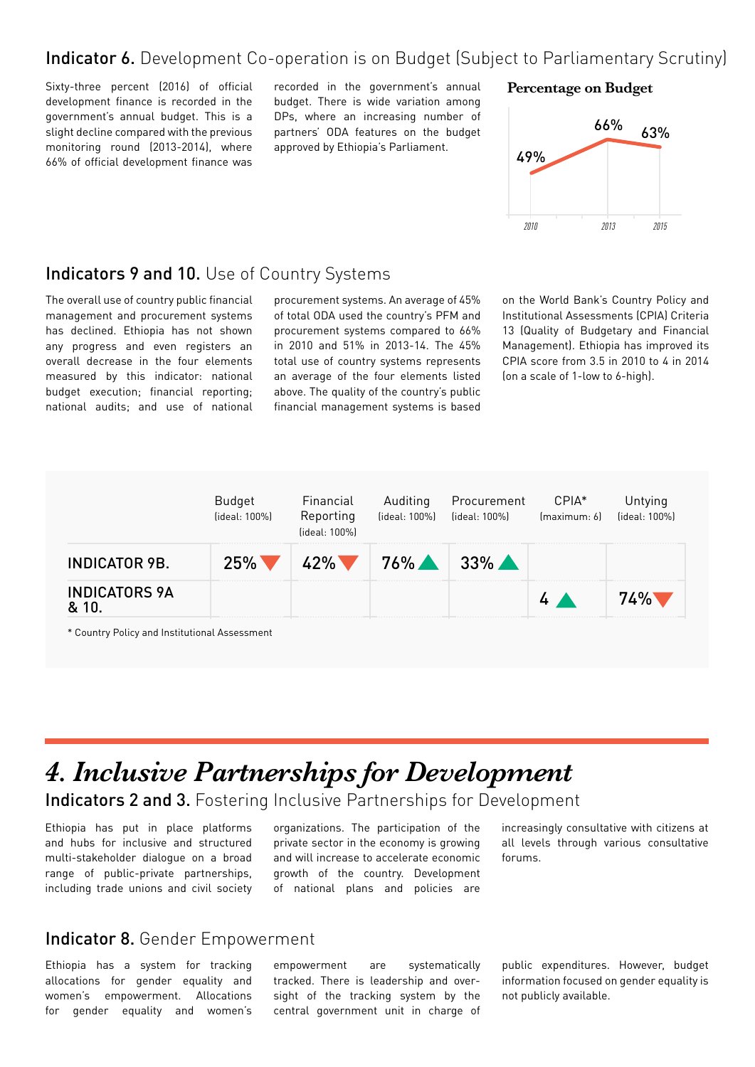### Indicator 6. Development Co-operation is on Budget (Subject to Parliamentary Scrutiny)

Sixty-three percent (2016) of official development finance is recorded in the government's annual budget. This is a slight decline compared with the previous monitoring round (2013-2014), where 66% of official development finance was

recorded in the government's annual budget. There is wide variation among DPs, where an increasing number of partners' ODA features on the budget approved by Ethiopia's Parliament.

#### **Percentage on Budget**



### Indicators 9 and 10. Use of Country Systems

The overall use of country public financial management and procurement systems has declined. Ethiopia has not shown any progress and even registers an overall decrease in the four elements measured by this indicator: national budget execution; financial reporting; national audits; and use of national

procurement systems. An average of 45% of total ODA used the country's PFM and procurement systems compared to 66% in 2010 and 51% in 2013-14. The 45% total use of country systems represents an average of the four elements listed above. The quality of the country's public financial management systems is based

on the World Bank's Country Policy and Institutional Assessments (CPIA) Criteria 13 (Quality of Budgetary and Financial Management). Ethiopia has improved its CPIA score from 3.5 in 2010 to 4 in 2014 (on a scale of 1-low to 6-high).



# *4. Inclusive Partnerships for Development*

### Indicators 2 and 3. Fostering Inclusive Partnerships for Development

Ethiopia has put in place platforms and hubs for inclusive and structured multi-stakeholder dialogue on a broad range of public-private partnerships, including trade unions and civil society

organizations. The participation of the private sector in the economy is growing and will increase to accelerate economic growth of the country. Development of national plans and policies are

increasingly consultative with citizens at all levels through various consultative forums.

### Indicator 8. Gender Empowerment

Ethiopia has a system for tracking allocations for gender equality and women's empowerment. Allocations for gender equality and women's

empowerment are systematically tracked. There is leadership and oversight of the tracking system by the central government unit in charge of

public expenditures. However, budget information focused on gender equality is not publicly available.